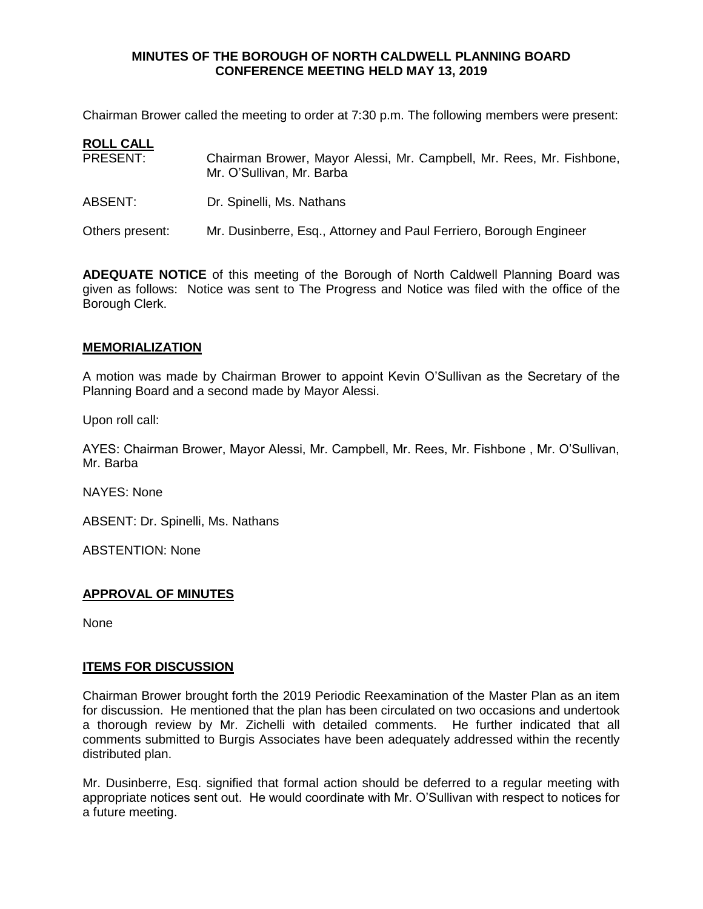### **MINUTES OF THE BOROUGH OF NORTH CALDWELL PLANNING BOARD CONFERENCE MEETING HELD MAY 13, 2019**

Chairman Brower called the meeting to order at 7:30 p.m. The following members were present:

| <b>ROLL CALL</b> |                                                                                                   |
|------------------|---------------------------------------------------------------------------------------------------|
| <b>PRESENT:</b>  | Chairman Brower, Mayor Alessi, Mr. Campbell, Mr. Rees, Mr. Fishbone,<br>Mr. O'Sullivan, Mr. Barba |
| ABSENT:          | Dr. Spinelli, Ms. Nathans                                                                         |
| Others present:  | Mr. Dusinberre, Esq., Attorney and Paul Ferriero, Borough Engineer                                |

**ADEQUATE NOTICE** of this meeting of the Borough of North Caldwell Planning Board was given as follows: Notice was sent to The Progress and Notice was filed with the office of the Borough Clerk.

# **MEMORIALIZATION**

A motion was made by Chairman Brower to appoint Kevin O'Sullivan as the Secretary of the Planning Board and a second made by Mayor Alessi.

Upon roll call:

AYES: Chairman Brower, Mayor Alessi, Mr. Campbell, Mr. Rees, Mr. Fishbone , Mr. O'Sullivan, Mr. Barba

NAYES: None

ABSENT: Dr. Spinelli, Ms. Nathans

ABSTENTION: None

# **APPROVAL OF MINUTES**

None

# **ITEMS FOR DISCUSSION**

Chairman Brower brought forth the 2019 Periodic Reexamination of the Master Plan as an item for discussion. He mentioned that the plan has been circulated on two occasions and undertook a thorough review by Mr. Zichelli with detailed comments. He further indicated that all comments submitted to Burgis Associates have been adequately addressed within the recently distributed plan.

Mr. Dusinberre, Esq. signified that formal action should be deferred to a regular meeting with appropriate notices sent out. He would coordinate with Mr. O'Sullivan with respect to notices for a future meeting.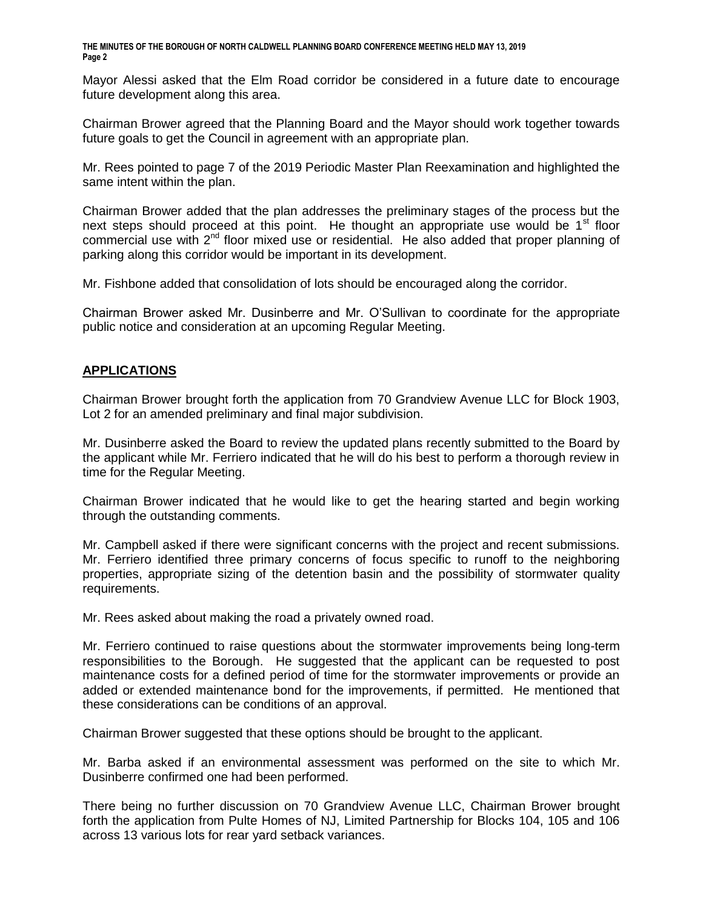**THE MINUTES OF THE BOROUGH OF NORTH CALDWELL PLANNING BOARD CONFERENCE MEETING HELD MAY 13, 2019 Page 2**

Mayor Alessi asked that the Elm Road corridor be considered in a future date to encourage future development along this area.

Chairman Brower agreed that the Planning Board and the Mayor should work together towards future goals to get the Council in agreement with an appropriate plan.

Mr. Rees pointed to page 7 of the 2019 Periodic Master Plan Reexamination and highlighted the same intent within the plan.

Chairman Brower added that the plan addresses the preliminary stages of the process but the next steps should proceed at this point. He thought an appropriate use would be  $1<sup>st</sup>$  floor commercial use with  $2^{nd}$  floor mixed use or residential. He also added that proper planning of parking along this corridor would be important in its development.

Mr. Fishbone added that consolidation of lots should be encouraged along the corridor.

Chairman Brower asked Mr. Dusinberre and Mr. O'Sullivan to coordinate for the appropriate public notice and consideration at an upcoming Regular Meeting.

### **APPLICATIONS**

Chairman Brower brought forth the application from 70 Grandview Avenue LLC for Block 1903, Lot 2 for an amended preliminary and final major subdivision.

Mr. Dusinberre asked the Board to review the updated plans recently submitted to the Board by the applicant while Mr. Ferriero indicated that he will do his best to perform a thorough review in time for the Regular Meeting.

Chairman Brower indicated that he would like to get the hearing started and begin working through the outstanding comments.

Mr. Campbell asked if there were significant concerns with the project and recent submissions. Mr. Ferriero identified three primary concerns of focus specific to runoff to the neighboring properties, appropriate sizing of the detention basin and the possibility of stormwater quality requirements.

Mr. Rees asked about making the road a privately owned road.

Mr. Ferriero continued to raise questions about the stormwater improvements being long-term responsibilities to the Borough. He suggested that the applicant can be requested to post maintenance costs for a defined period of time for the stormwater improvements or provide an added or extended maintenance bond for the improvements, if permitted. He mentioned that these considerations can be conditions of an approval.

Chairman Brower suggested that these options should be brought to the applicant.

Mr. Barba asked if an environmental assessment was performed on the site to which Mr. Dusinberre confirmed one had been performed.

There being no further discussion on 70 Grandview Avenue LLC, Chairman Brower brought forth the application from Pulte Homes of NJ, Limited Partnership for Blocks 104, 105 and 106 across 13 various lots for rear yard setback variances.